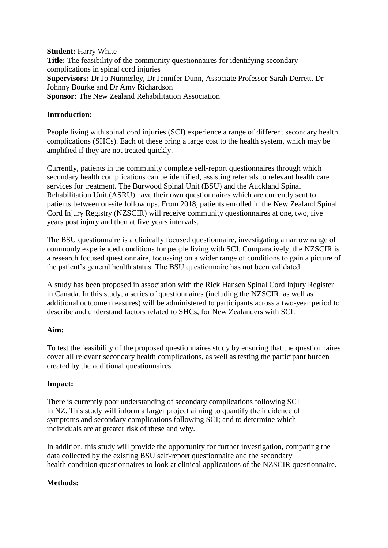**Student:** Harry White **Title:** The feasibility of the community questionnaires for identifying secondary complications in spinal cord injuries **Supervisors:** Dr Jo Nunnerley, Dr Jennifer Dunn, Associate Professor Sarah Derrett, Dr Johnny Bourke and Dr Amy Richardson **Sponsor:** The New Zealand Rehabilitation Association

### **Introduction:**

People living with spinal cord injuries (SCI) experience a range of different secondary health complications (SHCs). Each of these bring a large cost to the health system, which may be amplified if they are not treated quickly.

Currently, patients in the community complete self-report questionnaires through which secondary health complications can be identified, assisting referrals to relevant health care services for treatment. The Burwood Spinal Unit (BSU) and the Auckland Spinal Rehabilitation Unit (ASRU) have their own questionnaires which are currently sent to patients between on-site follow ups. From 2018, patients enrolled in the New Zealand Spinal Cord Injury Registry (NZSCIR) will receive community questionnaires at one, two, five years post injury and then at five years intervals.

The BSU questionnaire is a clinically focused questionnaire, investigating a narrow range of commonly experienced conditions for people living with SCI. Comparatively, the NZSCIR is a research focused questionnaire, focussing on a wider range of conditions to gain a picture of the patient's general health status. The BSU questionnaire has not been validated.

A study has been proposed in association with the Rick Hansen Spinal Cord Injury Register in Canada. In this study, a series of questionnaires (including the NZSCIR, as well as additional outcome measures) will be administered to participants across a two-year period to describe and understand factors related to SHCs, for New Zealanders with SCI.

# **Aim:**

To test the feasibility of the proposed questionnaires study by ensuring that the questionnaires cover all relevant secondary health complications, as well as testing the participant burden created by the additional questionnaires.

# **Impact:**

There is currently poor understanding of secondary complications following SCI in NZ. This study will inform a larger project aiming to quantify the incidence of symptoms and secondary complications following SCI; and to determine which individuals are at greater risk of these and why.

In addition, this study will provide the opportunity for further investigation, comparing the data collected by the existing BSU self-report questionnaire and the secondary health condition questionnaires to look at clinical applications of the NZSCIR questionnaire.

### **Methods:**